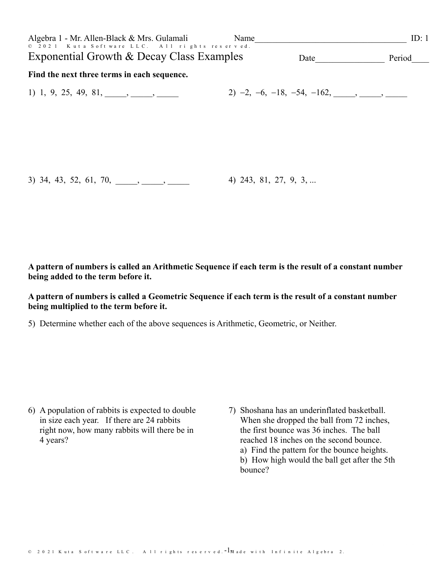| Algebra 1 - Mr. Allen-Black & Mrs. Gulamali<br>© 2021 Kuta Software LLC. All rights reserved. | Name |                                                         | ID: 1  |
|-----------------------------------------------------------------------------------------------|------|---------------------------------------------------------|--------|
| Exponential Growth & Decay Class Examples                                                     |      | Date                                                    | Period |
| Find the next three terms in each sequence.                                                   |      |                                                         |        |
| 1) 1, 9, 25, 49, 81, $\qquad \qquad$ , $\qquad$                                               |      | 2) $-2, -6, -18, -54, -162, \underline{\qquad \qquad }$ |        |
|                                                                                               |      |                                                         |        |
|                                                                                               |      |                                                         |        |
|                                                                                               |      |                                                         |        |
|                                                                                               |      |                                                         |        |
| $3)$ 34, 43, 52, 61, 70, , ,                                                                  |      | 4) 243, 81, 27, 9, 3,                                   |        |

A pattern of numbers is called an Arithmetic Sequence if each term is the result of a constant number being added to the term before it.

### A pattern of numbers is called a Geometric Sequence if each term is the result of a constant number being multiplied to the term before it.

5) Determine whether each of the above sequences is Arithmetic, Geometric, or Neither.

- 6) A population of rabbits is expected to double in size each year. If there are 24 rabbits right now, how many rabbits will there be in 4 years?
- 7) Shoshana has an underinflated basketball. When she dropped the ball from 72 inches, the first bounce was 36 inches. The ball reached 18 inches on the second bounce. a) Find the pattern for the bounce heights. b) How high would the ball get after the 5th bounce?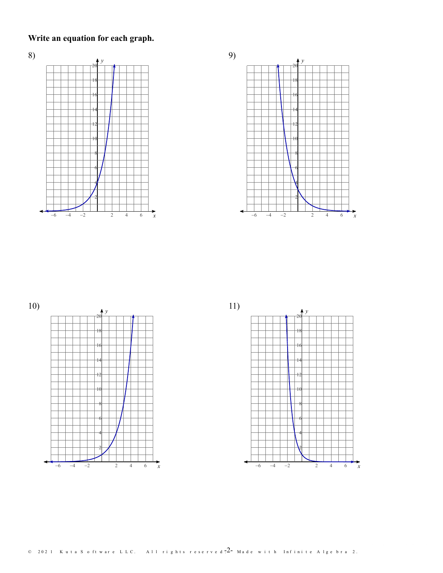**Write an equation for each graph.**







11)

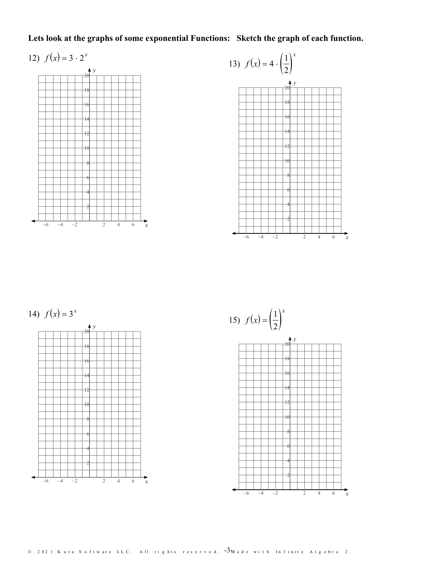# Lets look at the graphs of some exponential Functions: Sketch the graph of each function.

#### 12)  $f(x) = 3 \cdot 2^x$ *x*







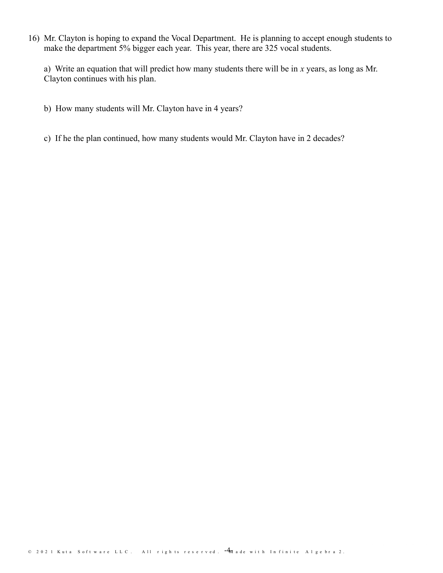16) Mr. Clayton is hoping to expand the Vocal Department. He is planning to accept enough students to make the department 5% bigger each year. This year, there are 325 vocal students.

a) Write an equation that will predict how many students there will be in *x* years, as long as Mr. Clayton continues with his plan.

- b) How many students will Mr. Clayton have in 4 years?
- c) If he the plan continued, how many students would Mr. Clayton have in 2 decades?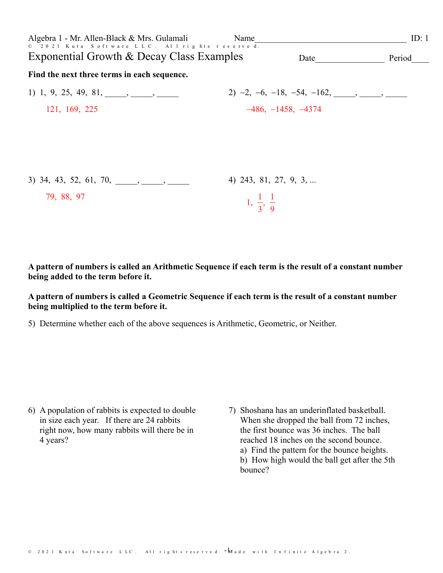| Algebra 1 - Mr. Allen-Black & Mrs. Gulamali<br>© 2021 Kuta Software LLC. All rights reserve d. | Name                          |                                            | ID: $1$ |  |
|------------------------------------------------------------------------------------------------|-------------------------------|--------------------------------------------|---------|--|
| Exponential Growth & Decay Class Examples                                                      |                               | Date                                       | Period  |  |
| Find the next three terms in each sequence.                                                    |                               |                                            |         |  |
| 1) 1, 9, 25, 49, 81, $\qquad \qquad$ , $\qquad$                                                |                               | $2)$ -2, -6, -18, -54, -162, _____, _____, |         |  |
| 121, 169, 225                                                                                  |                               | $-486, -1458, -4374$                       |         |  |
|                                                                                                |                               |                                            |         |  |
|                                                                                                |                               |                                            |         |  |
|                                                                                                |                               |                                            |         |  |
| $3)$ 34, 43, 52, 61, 70, , ,                                                                   | 4) 243, 81, 27, 9, 3,         |                                            |         |  |
| 79, 88, 97                                                                                     | $1, \frac{1}{3}, \frac{1}{9}$ |                                            |         |  |
|                                                                                                |                               |                                            |         |  |

A pattern of numbers is called an Arithmetic Sequence if each term is the result of a constant number being added to the term before it.

#### A pattern of numbers is called a Geometric Sequence if each term is the result of a constant number being multiplied to the term before it.

5) Determine whether each of the above sequences is Arithmetic, Geometric, or Neither.

- 6) A population of rabbits is expected to double in size each year. If there are 24 rabbits right now, how many rabbits will there be in 4 years?
- 7) Shoshana has an underinflated basketball. When she dropped the ball from 72 inches, the first bounce was 36 inches. The ball reached 18 inches on the second bounce. a) Find the pattern for the bounce heights. b) How high would the ball get after the 5th bounce?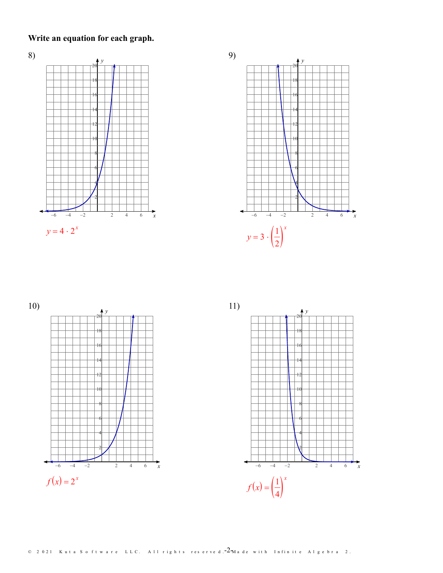**Write an equation for each graph.**







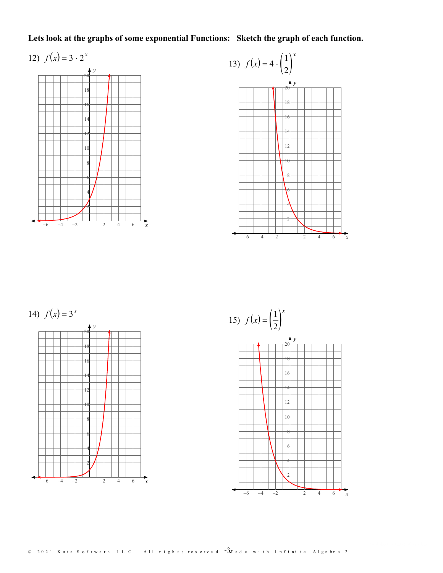# Lets look at the graphs of some exponential Functions: Sketch the graph of each function.

# 12)  $f(x) = 3 \cdot 2^x$